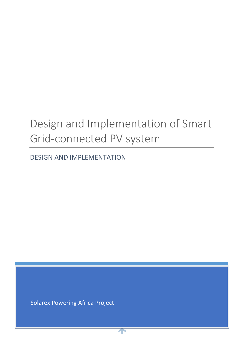# Design and Implementation of Smart Grid-connected PV system

DESIGN AND IMPLEMENTATION

Solarex Powering Africa Project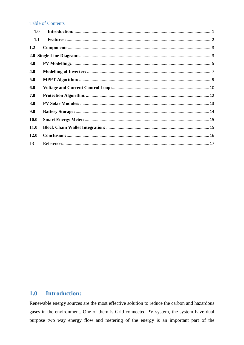#### **Table of Contents**

| 1.0         |  |
|-------------|--|
| 1.1         |  |
| 1.2         |  |
|             |  |
| 3.0         |  |
| 4.0         |  |
| 5.0         |  |
| 6.0         |  |
| 7.0         |  |
| 8.0         |  |
| 9.0         |  |
| <b>10.0</b> |  |
| <b>11.0</b> |  |
| 12.0        |  |
| 13          |  |

#### <span id="page-1-0"></span>**Introduction:**  $1.0$

Renewable energy sources are the most effective solution to reduce the carbon and hazardous gases in the environment. One of them is Grid-connected PV system, the system have dual purpose two way energy flow and metering of the energy is an important part of the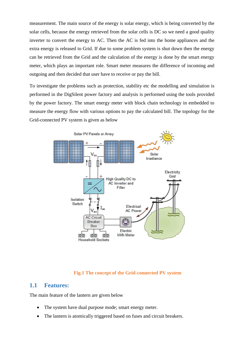measurement. The main source of the energy is solar energy, which is being converted by the solar cells, because the energy retrieved from the solar cells is DC so we need a good quality inverter to convert the energy to AC. Then the AC is fed into the home appliances and the extra energy is released to Grid. If due to some problem system is shut down then the energy can be retrieved from the Grid and the calculation of the energy is done by the smart energy meter, which plays an important role. Smart meter measures the difference of incoming and outgoing and then decided that user have to receive or pay the bill.

To investigate the problems such as protection, stability etc the modelling and simulation is performed in the DigSilent power factory and analysis is performed using the tools provided by the power factory. The smart energy meter with block chain technology in embedded to measure the energy flow with various options to pay the calculated bill. The topology for the Grid-connected PV system is given as below



#### **Fig.1 The concept of the Grid-connected PV system**

### <span id="page-2-0"></span>**1.1 Features:**

The main feature of the lantern are given below

- The system have dual purpose mode; smart energy meter.
- The lantern is atomically triggered based on fuses and circuit breakers.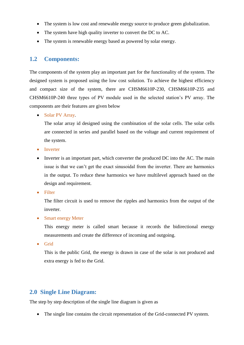- The system is low cost and renewable energy source to produce green globalization.
- The system have high quality inverter to convert the DC to AC.
- The system is renewable energy based as powered by solar energy.

## <span id="page-3-0"></span>**1.2 Components:**

The components of the system play an important part for the functionality of the system. The designed system is proposed using the low cost solution. To achieve the highest efficiency and compact size of the system, there are CHSM6610P-230, CHSM6610P-235 and CHSM6610P-240 three types of PV module used in the selected station's PV array. The components are their features are given below

• Solar PV Array.

The solar array id designed using the combination of the solar cells. The solar cells are connected in series and parallel based on the voltage and current requirement of the system.

- Inverter
- Inverter is an important part, which converter the produced DC into the AC. The main issue is that we can't get the exact sinusoidal from the inverter. There are harmonics in the output. To reduce these harmonics we have multilevel approach based on the design and requirement.
- Filter

The filter circuit is used to remove the ripples and harmonics from the output of the inverter.

• Smart energy Meter

This energy meter is called smart because it records the bidirectional energy measurements and create the difference of incoming and outgoing.

• Grid

This is the public Grid, the energy is drawn in case of the solar is not produced and extra energy is fed to the Grid.

## <span id="page-3-1"></span>**2.0 Single Line Diagram:**

The step by step description of the single line diagram is given as

• The single line contains the circuit representation of the Grid-connected PV system.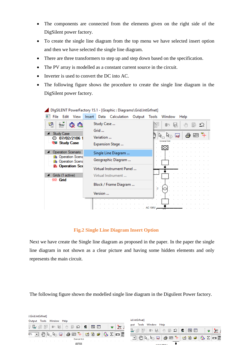- The components are connected from the elements given on the right side of the DigSilent power factory.
- To create the single line diagram from the top menu we have selected insert option and then we have selected the single line diagram.
- There are three transformers to step up and step down based on the specification.
- The PV array is modelled as a constant current source in the circuit.
- Inverter is used to convert the DC into AC.
- The following figure shows the procedure to create the single line diagram in the DigSilent power factory.

|                                                        | proprective contractory fore polaprice programs (ontainformed) |                         |
|--------------------------------------------------------|----------------------------------------------------------------|-------------------------|
| View<br>Edit<br>File                                   | Insert<br>Data Calculation<br>Output                           | Tools<br>Window<br>Help |
| ₩<br>Ę                                                 | Study Case<br>Grid                                             | ≏<br>ςMη                |
| <b>Study Case</b><br>07/02/2106 1<br>⊝                 | Variation                                                      | ð<br>⊞ 斗<br>k,<br>أهجأ  |
| <sup>G</sup> Study Case                                | Expansion Stage                                                |                         |
| Operation Scenario                                     | Single Line Diagram                                            |                         |
| <b>In</b> Operation Scena<br><b>In</b> Operation Scena | Geographic Diagram                                             |                         |
| 6 Operation Sce                                        | Virtual Instrument Panel                                       |                         |
| Grids (1 active)<br>※ Grid                             | Virtual Instrument                                             |                         |
|                                                        | Block / Frame Diagram                                          | ρ                       |
|                                                        | Version                                                        | ×.                      |
|                                                        |                                                                |                         |
|                                                        |                                                                | AC 10KV —               |

DigSILENT PowerFactory 15.1 - [Graphic : Diagrams\Grid.IntGrfnet]

#### **Fig.2 Single Line Diagram Insert Option**

Next we have create the Single line diagram as proposed in the paper. In the paper the single line diagram in not shown as a clear picture and having some hidden elements and only represents the main circuit.

The following figure shown the modelled single line diagram in the Digsilent Power factory.

| :\Grid.IntGrfnet]                                                                                                                    |                                                                                                                                                                                                                                                                                                                                                                                                                                        |
|--------------------------------------------------------------------------------------------------------------------------------------|----------------------------------------------------------------------------------------------------------------------------------------------------------------------------------------------------------------------------------------------------------------------------------------------------------------------------------------------------------------------------------------------------------------------------------------|
| Tools Window Help<br>Output                                                                                                          | id.IntGrfnet]                                                                                                                                                                                                                                                                                                                                                                                                                          |
| $\mathcal{R}$<br>3 5 5 5 2 2 4 5 4 5 5 6 7 8 5<br>屈 国<br>$\overline{\nabla}$                                                         | Window Help<br>Tools<br>:put                                                                                                                                                                                                                                                                                                                                                                                                           |
|                                                                                                                                      | 認言<br>】<br>$ \bullet\rangle\hspace{.1cm} \bullet\rangle\hspace{.1cm} \hspace{.1cm} \circ\rangle\hspace{.1cm} \hspace{.1cm} \hspace{.1cm} \hspace{.1cm} \hspace{.1cm} \hspace{.1cm} \hspace{.1cm} \hspace{.1cm} \hspace{.1cm} \hspace{.1cm} \hspace{.1cm} \hspace{.1cm} \hspace{.1cm} \hspace{.1cm} \hspace{.1cm} \hspace{.1cm} \hspace{.1cm} \hspace{.1cm} \hspace{.1cm} \hspace{.1cm} \hspace{.1cm} \hspace{.1cm} \hspace{.1cm}$<br>國 |
| $\circ$ $\Sigma$ $\Box$<br>$\ \mathcal{F}_n\ _{\mathcal{V}_n}$ , we are $\mathcal{F}_n$ , we are $\mathcal{F}_n$<br>$10\%$ $\bullet$ |                                                                                                                                                                                                                                                                                                                                                                                                                                        |
| <b>External Grid</b>                                                                                                                 | $\circledS$ $\Sigma$ $\blacksquare$<br> 李田斗  哲省12 <br>$\mathbb{E}[\mathcal{C}^{\perp} \mathcal{C}^{\perp}]$                                                                                                                                                                                                                                                                                                                            |
|                                                                                                                                      |                                                                                                                                                                                                                                                                                                                                                                                                                                        |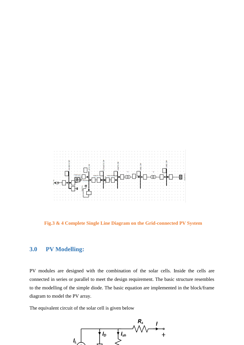

**Fig.3 & 4 Complete Single Line Diagram on the Grid-connected PV System**

## <span id="page-5-0"></span>**3.0 PV Modelling:**

PV modules are designed with the combination of the solar cells. Inside the cells are connected in series or parallel to meet the design requirement. The basic structure resembles to the modelling of the simple diode. The basic equation are implemented in the block/frame diagram to model the PV array.

The equivalent circuit of the solar cell is given below

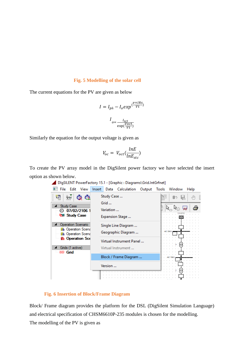#### **Fig. 5 Modelling of the solar cell**

The current equations for the PV are given as below

$$
I = I_{ph} - I_o exp(\frac{v + IR_S}{Vt})
$$

$$
I_{o = \frac{I_{sct}}{\exp(\frac{V_{oct}}{Vt})}}
$$

Similarly the equation for the output voltage is given as

$$
V_{oc} = V_{oct}(\frac{lnE}{lnE_{stc}})
$$

To create the PV array model in the DigSilent power factory we have selected the insert option as shown below.

| View<br>File<br>Edit                                                                                                                                     | <b>Insert</b><br>Data Calculation                                                               | Output Tools Window<br>Help           |
|----------------------------------------------------------------------------------------------------------------------------------------------------------|-------------------------------------------------------------------------------------------------|---------------------------------------|
| ≑তর<br><b>Study Case</b><br>07/02/2106 1<br>0<br><sup>G</sup> Study Case<br>Operation Scenario<br><b>In</b> Operation Scena<br><b>In</b> Operation Scena | Study Case<br>Grid<br>Variation<br>Expansion Stage<br>Single Line Diagram<br>Geographic Diagram | B-<br><b>Seat</b><br>. BRIT<br>AC SWV |
| 6 Operation Sce<br>Grids (1 active)<br>※ Grid                                                                                                            | Virtual Instrument Panel<br>Virtual Instrument                                                  |                                       |
|                                                                                                                                                          | Block / Frame Diagram                                                                           | AC TORV                               |
|                                                                                                                                                          | Version                                                                                         |                                       |

### DigSILENT PowerFactory 15.1 - [Graphic : Diagrams\Grid.IntGrfnet]

### **Fig. 6 Insertion of Block/Frame Diagram**

Block/ Frame diagram provides the platform for the DSL (DigSilent Simulation Language) and electrical specification of CHSM6610P-235 modules is chosen for the modelling. The modelling of the PV is given as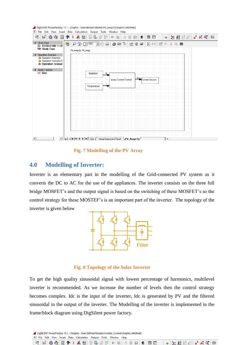



**Fig. 7 Modelling of the PV Array**

## <span id="page-7-0"></span>**4.0 Modelling of Inverter:**

Inverter is an elementary part in the modelling of the Grid-connected PV system as it converts the DC to AC for the use of the appliances. The inverter consists on the three full bridge MOSFET's and the output signal is based on the switching of these MOSFET's so the control strategy for these MOSTEF's is an important part of the inverter. The topology of the inverter is given below



#### **Fig. 8 Topology of the Solar Inverter**

To get the high quality sinusoidal signal with lowest percentage of harmonics, multilevel inverter is recommended. As we increase the number of levels then the control strategy becomes complex. Idc is the input of the inverter, Idc is generated by PV and the filtered sinusoidal in the output of the inverter. The Modelling of the inverter is implemented in the frame/block diagram using DigSilent power factory.

DigSILENT PowerFactory 15.1 - [Graphic : User Defined Models\Inverter\_Control\Graphic.IntGrfnet] File Edit View Insert Data Calculation Output Tools Window Help

| <b>Tart</b> | কৰৰ | a di San<br><b>CONTRACTOR</b><br>商 |                   | -14 |  |  |  |  |    | 压 |  | . .            | . . |  |  | ₩ | ື່      |
|-------------|-----|------------------------------------|-------------------|-----|--|--|--|--|----|---|--|----------------|-----|--|--|---|---------|
|             |     | <b>The County of the County</b>    | - Bel<br>----<br> |     |  |  |  |  | -- |   |  | $\overline{ }$ |     |  |  |   | $P = 2$ |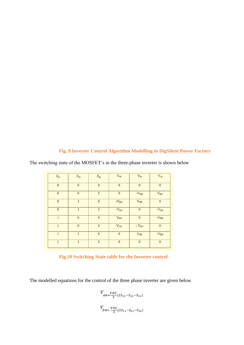## **Fig. 9 Inverter Control Algorithm Modelling in DigSilent Power Factory**

| $S_{\rm 11}$ | $S_{\rm 12}$ | $S_{\rm 31}$ | $\rm V_{ab}$                     | $\rm V_{bc}$       | $\rm V_{ca}$                     |
|--------------|--------------|--------------|----------------------------------|--------------------|----------------------------------|
| $\bf{0}$     | $\mathbf{0}$ | $\bf{0}$     | $\bf{0}$                         | $\bf{0}$           | $\mathbf{0}$                     |
| $\bf{0}$     | $\mathbf{0}$ | $\mathbf{1}$ | $\bf{0}$                         | $\mathbf{-V_{DC}}$ | $\rm V_{DC}$                     |
| $\bf{0}$     | $\mathbf{1}$ | $\mathbf{0}$ | $\text{-}\mathrm{V}_\mathrm{DC}$ | $\rm V_{DC}$       | $\mathbf{0}$                     |
| $\bf{0}$     | $\mathbf{1}$ | $\mathbf{1}$ | $\text{-}\mathrm{V}_{\text{DC}}$ | $\bf{0}$           | $\text{-}\mathrm{V}_{\text{DC}}$ |
| $\mathbf{1}$ | $\bf{0}$     | $\mathbf{0}$ | $\rm V_{DC}$                     | $\bf{0}$           | $-V_{DC}$                        |
| $\mathbf{1}$ | $\bf{0}$     | $\mathbf{1}$ | $\rm V_{DC}$                     | - $V_{DC}$         | $\mathbf{0}$                     |
| 1            | $\mathbf{1}$ | $\mathbf{0}$ | $\pmb{0}$                        | $\rm V_{DC}$       | $\mathbf{-V_{DC}}$               |
| $\mathbf{1}$ | $\mathbf{1}$ | $\mathbf{1}$ | $\bf{0}$                         | $\bf{0}$           | $\bf{0}$                         |

The switching state of the MOSFET's in the three-phase inverter is shown below

## **Fig.10 Switching State table for the Inverter control**

The modelled equations for the control of the three phase inverter are given below

$$
V_{an=\frac{VDC}{3}(2S_{11}-S_{21}-S_{31})}
$$
  

$$
V_{bn=\frac{VDC}{3}(2S_{11}-S_{21}-S_{31})}
$$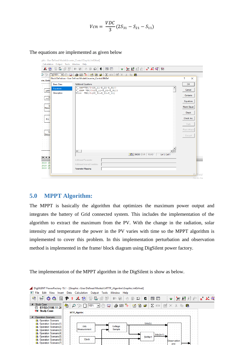$$
Vcn = \frac{VDC}{3}(2S_{31} - S_{21} - S_{11})
$$

The equations are implemented as given below

| phic : User Defined Models\Inverter_Control\Graphic.IntGrfnet]                            |                                                                          |                     |
|-------------------------------------------------------------------------------------------|--------------------------------------------------------------------------|---------------------|
| Calculation Output Tools Window Help                                                      |                                                                          |                     |
| 累累國<br>【 12<br>醒                                                                          | 역 3 1 월 출 E R 전<br>$E \Omega$<br>届 国<br>J<br>$\Rightarrow$ $\Box$<br>ਂ ਢ |                     |
| $\mathcal{C}^{\prime}$ C<br>$100\%$ $\blacktriangleright$ $\binom{100}{2}$<br><b>Sept</b> | <b>Z 田 國 X &amp; 略 略</b><br>台田斗<br>稻省<br>$\bullet$                       |                     |
| erter_Contro                                                                              | Block Definition - User Defined Models\Inverter_Control.BlkDef           | ?<br>$\times$       |
| <b>Basic Data</b>                                                                         | <b>Additional Equations</b>                                              | OK                  |
| Equations                                                                                 | V (an=VDC/3(2S 11-S 21-S 31))                                            |                     |
| <b>MPPT</b><br>Description                                                                | $V$ (bn= VDC/3 (2S 11-S 21-S 31))<br>Vcn= VDC/3(2S 31-S 21-S 11)         | Cancel              |
| Ud                                                                                        |                                                                          | Contents            |
| Modsun                                                                                    |                                                                          | Equations           |
| ∴ lai                                                                                     |                                                                          | Macro Equat.        |
| Measur                                                                                    |                                                                          |                     |
|                                                                                           |                                                                          | Check               |
| PL1.                                                                                      |                                                                          | Check Inc.          |
|                                                                                           |                                                                          | Pack                |
|                                                                                           |                                                                          |                     |
| Va                                                                                        |                                                                          | Pack->Macro         |
| Measuri                                                                                   |                                                                          | Encrypt             |
|                                                                                           |                                                                          |                     |
|                                                                                           |                                                                          |                     |
|                                                                                           | $\leftarrow$                                                             |                     |
|                                                                                           | <b>图 MOD OVR READ</b><br>Ln 1, Col 1                                     |                     |
| $  \mathbf{4}  \mathbf{4}  $                                                              | Additional Parameter                                                     |                     |
| 2018 15                                                                                   | Additional Internal Variables                                            |                     |
| 2018 15<br>2018 15                                                                        | Parameter Mapping                                                        |                     |
|                                                                                           |                                                                          |                     |
|                                                                                           |                                                                          | Adtivat<br>Gn th Sa |

## <span id="page-9-0"></span>**5.0 MPPT Algorithm:**

The MPPT is basically the algorithm that optimizes the maximum power output and integrates the battery of Grid connected system. This includes the implementation of the algorithm to extract the maximum from the PV. With the change in the radiation, solar intensity and temperature the power in the PV varies with time so the MPPT algorithm is implemented to cover this problem. In this implementation perturbation and observation method is implemented in the frame/ block diagram using DigSilent power factory.

The implementation of the MPPT algorithm in the DigSilent is show as below.

| DIqSILENT PowerFactory 15.1 - [Graphic : User Defined Models\MTTP_Algoritm\Graphic.IntGrfnet] |                                                                                                                                |  |  |  |  |  |  |  |  |  |
|-----------------------------------------------------------------------------------------------|--------------------------------------------------------------------------------------------------------------------------------|--|--|--|--|--|--|--|--|--|
| File<br>Edit<br>View                                                                          | Insert Data Calculation<br>Window Help<br>Output<br>Tools                                                                      |  |  |  |  |  |  |  |  |  |
| 鞫<br>Ġ.<br>ō<br>l e<br>কৰৰ                                                                    | $=$ $K$ $\circledcirc$<br>恳<br>ā<br>Å₹<br>距<br>屈<br>5<br>⊵<br>評 經<br>同<br>懰<br>f<br>50<br>-JM<br>п<br>属<br>$\overline{\nabla}$ |  |  |  |  |  |  |  |  |  |
| <b>Study Case</b><br>$\overline{ }$<br>07/02/2106 11:28<br>€9                                 | €<br>ð<br>∓<br>ħ<br>Σ<br>喦<br>œ<br>巨名<br>G<br>۲A<br>田<br>峰<br>أهجأ<br>$\overline{\phantom{a}}$<br>Øш.                          |  |  |  |  |  |  |  |  |  |
| <b>Gall</b> Study Case                                                                        | <b>MTTP Algoritm</b>                                                                                                           |  |  |  |  |  |  |  |  |  |
| <b>Operation Scenario</b>                                                                     | $\sim$ $\sim$<br>$\cdots$                                                                                                      |  |  |  |  |  |  |  |  |  |
| h Operation Scenario                                                                          | $\cdots$<br>$\cdots$                                                                                                           |  |  |  |  |  |  |  |  |  |
| <b>In</b> Operation Scenario(1)                                                               | $\cdots$<br>$\sim$<br>$\sim$<br>.<br>$\sim$                                                                                    |  |  |  |  |  |  |  |  |  |
| h Operation Scenario(2)                                                                       | Udc<br>Uoltage<br>$\sim$<br>$\sim$<br>$\cdots$                                                                                 |  |  |  |  |  |  |  |  |  |
| in Operation Scenario(3)                                                                      | Sample<br>Measurement<br>$\sim$<br>$\cdots$<br>. .<br>All Party                                                                |  |  |  |  |  |  |  |  |  |
| in Operation Scenario(4)                                                                      | .<br>$\cdots$<br>. .<br>$Udc(k+1)$<br>$\cdots$<br>$\cdots$<br>$\sim$                                                           |  |  |  |  |  |  |  |  |  |
| <b>In</b> Operation Scenario(5)                                                               | $\cdots$<br>Shifter1<br>$\cdots$<br>$\cdots$                                                                                   |  |  |  |  |  |  |  |  |  |
| <b>In</b> Operation Scenario(6)                                                               | $\sim$<br>$\sim$<br>$\cdots$<br>$\cdots$<br>Clock<br>Observation<br>$\sim$<br>and the con-<br>.<br>$\sim$                      |  |  |  |  |  |  |  |  |  |
| in Operation Scenario(7)                                                                      | and<br>$\sim$                                                                                                                  |  |  |  |  |  |  |  |  |  |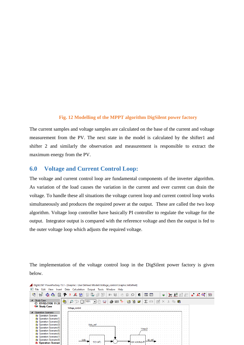#### **Fig. 12 Modelling of the MPPT algorithm DigSilent power factory**

The current samples and voltage samples are calculated on the base of the current and voltage measurement from the PV. The next state in the model is calculated by the shifter1 and shifter 2 and similarly the observation and measurement is responsible to extract the maximum energy from the PV.

## <span id="page-10-0"></span>**6.0 Voltage and Current Control Loop:**

The voltage and current control loop are fundamental components of the inverter algorithm. As variation of the load causes the variation in the current and over current can drain the voltage. To handle these all situations the voltage current loop and current control loop works simultaneously and produces the required power at the output. These are called the two loop algorithm. Voltage loop controller have basically PI controller to regulate the voltage for the output. Integrator output is compared with the reference voltage and then the output is fed to the outer voltage loop which adjusts the required voltage.

The implementation of the voltage control loop in the DigSilent power factory is given below.

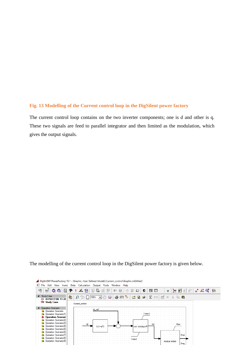#### **Fig. 13 Modelling of the Current control loop in the DigSilent power factory**

The current control loop contains on the two inverter components; one is d and other is q. These two signals are feed to parallel integrator and then limited as the modulation, which gives the output signals.

The modelling of the current control loop in the DigSilent power factory is given below.

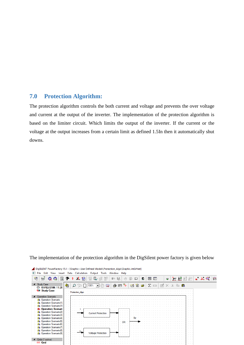## <span id="page-12-0"></span>**7.0 Protection Algorithm:**

The protection algorithm controls the both current and voltage and prevents the over voltage and current at the output of the inverter. The implementation of the protection algorithm is based on the limiter circuit. Which limits the output of the inverter. If the current or the voltage at the output increases from a certain limit as defined 1.5In then it automatically shut downs.



The implementation of the protection algorithm in the DigSilent power factory is given below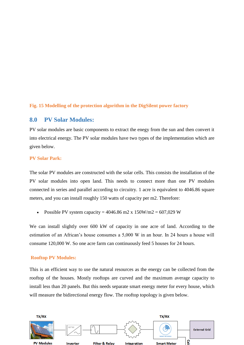#### **Fig. 15 Modelling of the protection algorithm in the DigSilent power factory**

## <span id="page-13-0"></span>**8.0 PV Solar Modules:**

PV solar modules are basic components to extract the enegy from the sun and then convert it into electrical energy. The PV solar modules have two types of the implementation which are given below.

#### **PV Solar Park:**

The solar PV modules are constructed with the solar cells. This consists the installation of the PV solar modules into open land. This needs to connect more than one PV modules connected in series and parallel according to circuitry. 1 acre is equivalent to 4046.86 square meters, and you can install roughly 150 watts of capacity per m2. Therefore:

• Possible PV system capacity =  $4046.86$  m2 x  $150$ W/m2 =  $607,029$  W

We can install slightly over 600 kW of capacity in one acre of land. According to the estimation of an African's house consumes a 5,000 W in an hour. In 24 hours a house will consume 120,000 W. So one acre farm can continuously feed 5 houses for 24 hours.

#### **Rooftop PV Modules:**

This is an efficient way to use the natural resources as the energy can be collected from the rooftop of the houses. Mostly rooftops are curved and the maximum average capacity to install less than 20 panels. But this needs separate smart energy meter for every house, which will measure the bidirectional energy flow. The rooftop topology is given below.

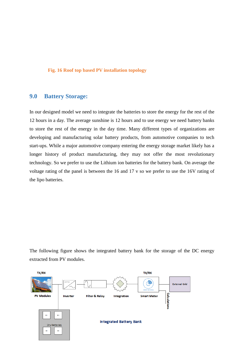#### **Fig. 16 Roof top based PV installation topology**

## <span id="page-14-0"></span>**9.0 Battery Storage:**

In our designed model we need to integrate the batteries to store the energy for the rest of the 12 hours in a day. The average sunshine is 12 hours and to use energy we need battery banks to store the rest of the energy in the day time. Many different types of organizations are developing and manufacturing solar battery products, from automotive companies to tech start-ups. While a major automotive company entering the energy storage market likely has a longer history of product manufacturing, they may not offer the most revolutionary technology. So we prefer to use the Lithium ion batteries for the battery bank. On average the voltage rating of the panel is between the 16 and 17 v so we prefer to use the 16V rating of the lipo batteries.

The following figure shows the integrated battery bank for the storage of the DC energy extracted from PV modules.

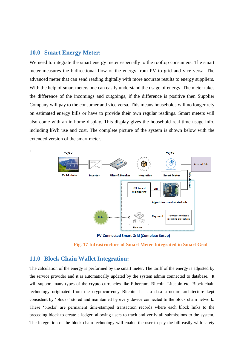#### <span id="page-15-0"></span>**10.0 Smart Energy Meter:**

We need to integrate the smart energy meter especially to the rooftop consumers. The smart meter measures the bidirectional flow of the energy from PV to grid and vice versa. The advanced meter that can send reading digitally with more accurate results to energy suppliers. With the help of smart meters one can easily understand the usage of energy. The meter takes the difference of the incomings and outgoings, if the difference is positive then Supplier Company will pay to the consumer and vice versa. This means households will no longer rely on estimated energy bills or have to provide their own regular readings. Smart meters will also come with an in-home display. This display gives the household real-time usage info, including kWh use and cost. The complete picture of the system is shown below with the extended version of the smart meter.



**PV-Connected Smart Grid (Complete Setup)** 



## <span id="page-15-1"></span>**11.0 Block Chain Wallet Integration:**

The calculation of the energy is performed by the smart meter. The tariff of the energy is adjusted by the service provider and it is automatically updated by the system admin connected to database. It will support many types of the crypto currencies like Ethereum, Bitcoin, Litecoin etc. Block chain technology originated from the cryptocurrency Bitcoin. It is a data structure architecture kept consistent by 'blocks' stored and maintained by every device connected to the block chain network. These 'blocks' are permanent time-stamped transaction records where each block links to the preceding block to create a ledger, allowing users to track and verify all submissions to the system. The integration of the block chain technology will enable the user to pay the bill easily with safety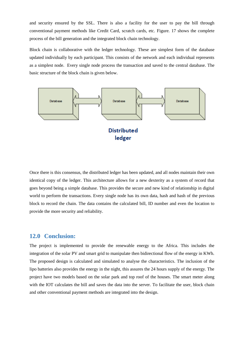and security ensured by the SSL. There is also a facility for the user to pay the bill through conventional payment methods like Credit Card, scratch cards, etc. Figure. 17 shows the complete process of the bill generation and the integrated block chain technology.

Block chain is collaborative with the ledger technology. These are simplest form of the database updated individually by each participant. This consists of the network and each individual represents as a simplest node. Every single node process the transaction and saved to the central database. The basic structure of the block chain is given below.



Once there is this consensus, the distributed ledger has been updated, and all nodes maintain their own identical copy of the ledger. This architecture allows for a new dexterity as a system of record that goes beyond being a simple database. This provides the secure and new kind of relationship in digital world to perform the transactions. Every single node has its own data, hash and hash of the previous block to record the chain. The data contains the calculated bill, ID number and even the location to provide the more security and reliability.

## <span id="page-16-0"></span>**12.0 Conclusion:**

The project is implemented to provide the renewable energy to the Africa. This includes the integration of the solar PV and smart grid to manipulate then bidirectional flow of the energy in KWh. The proposed design is calculated and simulated to analyse the characteristics. The inclusion of the lipo batteries also provides the energy in the night, this assures the 24 hours supply of the energy. The project have two models based on the solar park and top roof of the houses. The smart meter along with the IOT calculates the bill and saves the data into the server. To facilitate the user, block chain and other conventional payment methods are integrated into the design.